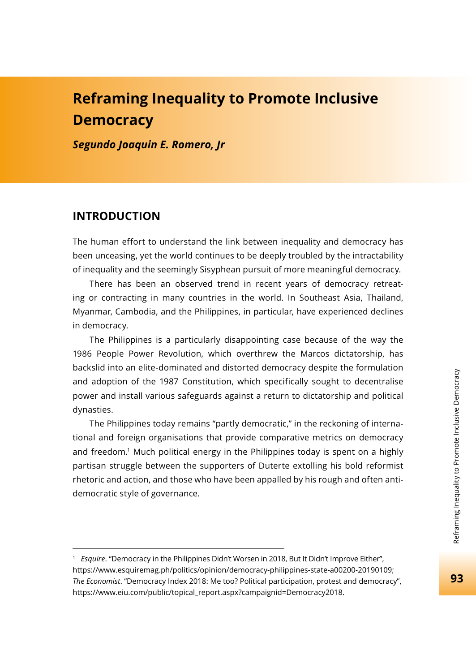# **Reframing Inequality to Promote Inclusive Democracy**

*Segundo Joaquin E. Romero, Jr*

#### **INTRODUCTION**

The human effort to understand the link between inequality and democracy has been unceasing, yet the world continues to be deeply troubled by the intractability of inequality and the seemingly Sisyphean pursuit of more meaningful democracy.

There has been an observed trend in recent years of democracy retreating or contracting in many countries in the world. In Southeast Asia, Thailand, Myanmar, Cambodia, and the Philippines, in particular, have experienced declines in democracy.

The Philippines is a particularly disappointing case because of the way the 1986 People Power Revolution, which overthrew the Marcos dictatorship, has backslid into an elite-dominated and distorted democracy despite the formulation and adoption of the 1987 Constitution, which specifically sought to decentralise power and install various safeguards against a return to dictatorship and political dynasties.

The Philippines today remains "partly democratic," in the reckoning of international and foreign organisations that provide comparative metrics on democracy and freedom.<sup>1</sup> Much political energy in the Philippines today is spent on a highly partisan struggle between the supporters of Duterte extolling his bold reformist rhetoric and action, and those who have been appalled by his rough and often antidemocratic style of governance.

<sup>&</sup>lt;sup>1</sup> *Esquire*. "Democracy in the Philippines Didn't Worsen in 2018, But It Didn't Improve Either", https://www.esquiremag.ph/politics/opinion/democracy-philippines-state-a00200-20190109; *The Economist*. "Democracy Index 2018: Me too? Political participation, protest and democracy", https://www.eiu.com/public/topical\_report.aspx?campaignid=Democracy2018.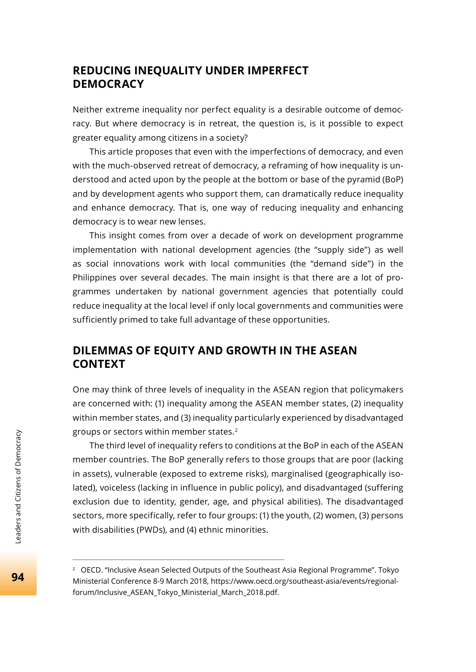#### **REDUCING INEQUALITY UNDER IMPERFECT DEMOCRACY**

Neither extreme inequality nor perfect equality is a desirable outcome of democracy. But where democracy is in retreat, the question is, is it possible to expect greater equality among citizens in a society?

This article proposes that even with the imperfections of democracy, and even with the much-observed retreat of democracy, a reframing of how inequality is understood and acted upon by the people at the bottom or base of the pyramid (BoP) and by development agents who support them, can dramatically reduce inequality and enhance democracy. That is, one way of reducing inequality and enhancing democracy is to wear new lenses.

This insight comes from over a decade of work on development programme implementation with national development agencies (the "supply side") as well as social innovations work with local communities (the "demand side") in the Philippines over several decades. The main insight is that there are a lot of programmes undertaken by national government agencies that potentially could reduce inequality at the local level if only local governments and communities were sufficiently primed to take full advantage of these opportunities.

## **DILEMMAS OF EQUITY AND GROWTH IN THE ASEAN CONTEXT**

One may think of three levels of inequality in the ASEAN region that policymakers are concerned with: (1) inequality among the ASEAN member states, (2) inequality within member states, and (3) inequality particularly experienced by disadvantaged groups or sectors within member states.2

The third level of inequality refers to conditions at the BoP in each of the ASEAN member countries. The BoP generally refers to those groups that are poor (lacking in assets), vulnerable (exposed to extreme risks), marginalised (geographically isolated), voiceless (lacking in influence in public policy), and disadvantaged (suffering exclusion due to identity, gender, age, and physical abilities). The disadvantaged sectors, more specifically, refer to four groups: (1) the youth, (2) women, (3) persons with disabilities (PWDs), and (4) ethnic minorities.

<sup>2</sup> OECD. "Inclusive Asean Selected Outputs of the Southeast Asia Regional Programme". Tokyo Ministerial Conference 8-9 March 2018, https://www.oecd.org/southeast-asia/events/regionalforum/Inclusive\_ASEAN\_Tokyo\_Ministerial\_March\_2018.pdf.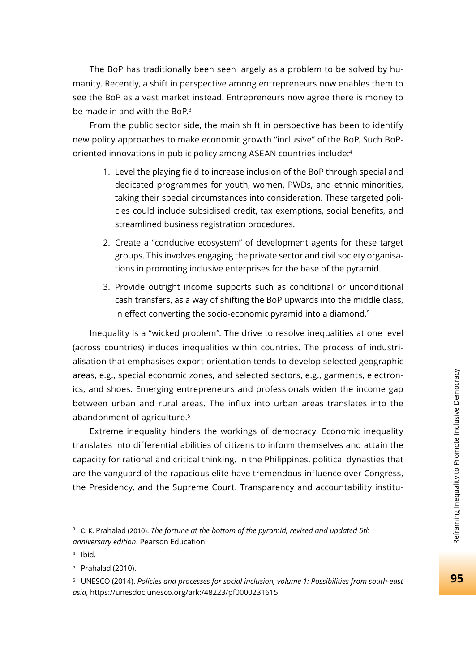The BoP has traditionally been seen largely as a problem to be solved by humanity. Recently, a shift in perspective among entrepreneurs now enables them to see the BoP as a vast market instead. Entrepreneurs now agree there is money to be made in and with the BoP.<sup>3</sup>

From the public sector side, the main shift in perspective has been to identify new policy approaches to make economic growth "inclusive" of the BoP. Such BoPoriented innovations in public policy among ASEAN countries include:4

- 1. Level the playing field to increase inclusion of the BoP through special and dedicated programmes for youth, women, PWDs, and ethnic minorities, taking their special circumstances into consideration. These targeted policies could include subsidised credit, tax exemptions, social benefits, and streamlined business registration procedures.
- 2. Create a "conducive ecosystem" of development agents for these target groups. This involves engaging the private sector and civil society organisations in promoting inclusive enterprises for the base of the pyramid.
- 3. Provide outright income supports such as conditional or unconditional cash transfers, as a way of shifting the BoP upwards into the middle class, in effect converting the socio-economic pyramid into a diamond.<sup>5</sup>

Inequality is a "wicked problem". The drive to resolve inequalities at one level (across countries) induces inequalities within countries. The process of industrialisation that emphasises export-orientation tends to develop selected geographic areas, e.g., special economic zones, and selected sectors, e.g., garments, electronics, and shoes. Emerging entrepreneurs and professionals widen the income gap between urban and rural areas. The influx into urban areas translates into the abandonment of agriculture.<sup>6</sup>

Extreme inequality hinders the workings of democracy. Economic inequality translates into differential abilities of citizens to inform themselves and attain the capacity for rational and critical thinking. In the Philippines, political dynasties that are the vanguard of the rapacious elite have tremendous influence over Congress, the Presidency, and the Supreme Court. Transparency and accountability institu-

<sup>&</sup>lt;sup>3</sup> C. K. Prahalad (2010). *The fortune at the bottom of the pyramid, revised and updated 5th anniversary edition*. Pearson Education.

<sup>4</sup> Ibid.

<sup>5</sup> Prahalad (2010).

<sup>6</sup> UNESCO (2014). *Policies and processes for social inclusion, volume 1: Possibilities from south-east asia*, https://unesdoc.unesco.org/ark:/48223/pf0000231615.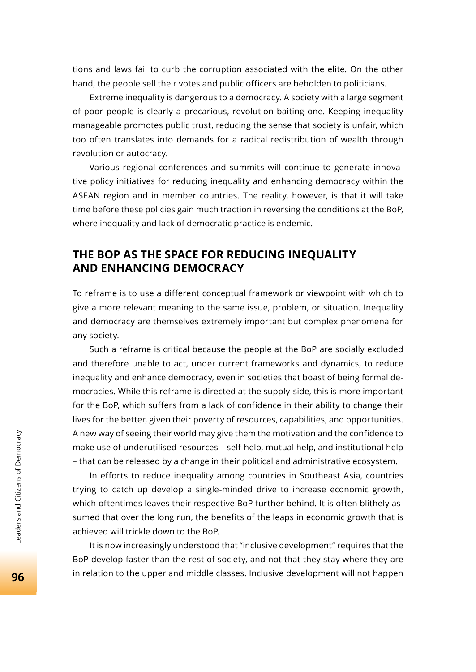tions and laws fail to curb the corruption associated with the elite. On the other hand, the people sell their votes and public officers are beholden to politicians.

Extreme inequality is dangerous to a democracy. A society with a large segment of poor people is clearly a precarious, revolution-baiting one. Keeping inequality manageable promotes public trust, reducing the sense that society is unfair, which too often translates into demands for a radical redistribution of wealth through revolution or autocracy.

Various regional conferences and summits will continue to generate innovative policy initiatives for reducing inequality and enhancing democracy within the ASEAN region and in member countries. The reality, however, is that it will take time before these policies gain much traction in reversing the conditions at the BoP, where inequality and lack of democratic practice is endemic.

#### **THE BOP AS THE SPACE FOR REDUCING INEQUALITY AND ENHANCING DEMOCRACY**

To reframe is to use a different conceptual framework or viewpoint with which to give a more relevant meaning to the same issue, problem, or situation. Inequality and democracy are themselves extremely important but complex phenomena for any society.

Such a reframe is critical because the people at the BoP are socially excluded and therefore unable to act, under current frameworks and dynamics, to reduce inequality and enhance democracy, even in societies that boast of being formal democracies. While this reframe is directed at the supply-side, this is more important for the BoP, which suffers from a lack of confidence in their ability to change their lives for the better, given their poverty of resources, capabilities, and opportunities. A new way of seeing their world may give them the motivation and the confidence to make use of underutilised resources – self-help, mutual help, and institutional help – that can be released by a change in their political and administrative ecosystem.

In efforts to reduce inequality among countries in Southeast Asia, countries trying to catch up develop a single-minded drive to increase economic growth, which oftentimes leaves their respective BoP further behind. It is often blithely assumed that over the long run, the benefits of the leaps in economic growth that is achieved will trickle down to the BoP.

It is now increasingly understood that "inclusive development" requires that the BoP develop faster than the rest of society, and not that they stay where they are in relation to the upper and middle classes. Inclusive development will not happen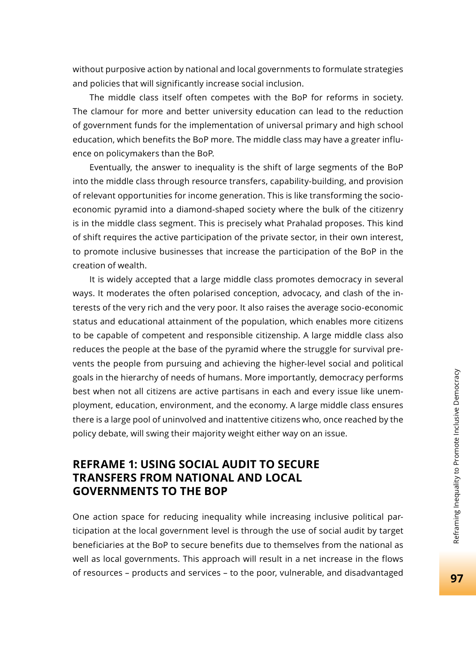without purposive action by national and local governments to formulate strategies and policies that will significantly increase social inclusion.

The middle class itself often competes with the BoP for reforms in society. The clamour for more and better university education can lead to the reduction of government funds for the implementation of universal primary and high school education, which benefits the BoP more. The middle class may have a greater influence on policymakers than the BoP.

Eventually, the answer to inequality is the shift of large segments of the BoP into the middle class through resource transfers, capability-building, and provision of relevant opportunities for income generation. This is like transforming the socioeconomic pyramid into a diamond-shaped society where the bulk of the citizenry is in the middle class segment. This is precisely what Prahalad proposes. This kind of shift requires the active participation of the private sector, in their own interest, to promote inclusive businesses that increase the participation of the BoP in the creation of wealth.

It is widely accepted that a large middle class promotes democracy in several ways. It moderates the often polarised conception, advocacy, and clash of the interests of the very rich and the very poor. It also raises the average socio-economic status and educational attainment of the population, which enables more citizens to be capable of competent and responsible citizenship. A large middle class also reduces the people at the base of the pyramid where the struggle for survival prevents the people from pursuing and achieving the higher-level social and political goals in the hierarchy of needs of humans. More importantly, democracy performs best when not all citizens are active partisans in each and every issue like unemployment, education, environment, and the economy. A large middle class ensures there is a large pool of uninvolved and inattentive citizens who, once reached by the policy debate, will swing their majority weight either way on an issue.

### **REFRAME 1: USING SOCIAL AUDIT TO SECURE TRANSFERS FROM NATIONAL AND LOCAL GOVERNMENTS TO THE BOP**

One action space for reducing inequality while increasing inclusive political participation at the local government level is through the use of social audit by target beneficiaries at the BoP to secure benefits due to themselves from the national as well as local governments. This approach will result in a net increase in the flows of resources – products and services – to the poor, vulnerable, and disadvantaged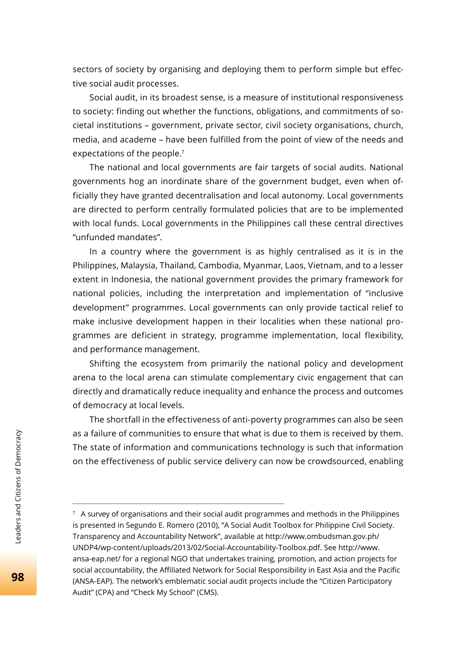sectors of society by organising and deploying them to perform simple but effective social audit processes.

Social audit, in its broadest sense, is a measure of institutional responsiveness to society: finding out whether the functions, obligations, and commitments of societal institutions – government, private sector, civil society organisations, church, media, and academe – have been fulfilled from the point of view of the needs and expectations of the people.<sup>7</sup>

The national and local governments are fair targets of social audits. National governments hog an inordinate share of the government budget, even when officially they have granted decentralisation and local autonomy. Local governments are directed to perform centrally formulated policies that are to be implemented with local funds. Local governments in the Philippines call these central directives "unfunded mandates".

In a country where the government is as highly centralised as it is in the Philippines, Malaysia, Thailand, Cambodia, Myanmar, Laos, Vietnam, and to a lesser extent in Indonesia, the national government provides the primary framework for national policies, including the interpretation and implementation of "inclusive development" programmes. Local governments can only provide tactical relief to make inclusive development happen in their localities when these national programmes are deficient in strategy, programme implementation, local flexibility, and performance management.

Shifting the ecosystem from primarily the national policy and development arena to the local arena can stimulate complementary civic engagement that can directly and dramatically reduce inequality and enhance the process and outcomes of democracy at local levels.

The shortfall in the effectiveness of anti-poverty programmes can also be seen as a failure of communities to ensure that what is due to them is received by them. The state of information and communications technology is such that information on the effectiveness of public service delivery can now be crowdsourced, enabling

 $7$  A survey of organisations and their social audit programmes and methods in the Philippines is presented in Segundo E. Romero (2010), "A Social Audit Toolbox for Philippine Civil Society. Transparency and Accountability Network", available at http://www.ombudsman.gov.ph/ UNDP4/wp-content/uploads/2013/02/Social-Accountability-Toolbox.pdf. See http://www. ansa-eap.net/ for a regional NGO that undertakes training, promotion, and action projects for social accountability, the Affiliated Network for Social Responsibility in East Asia and the Pacific (ANSA-EAP). The network's emblematic social audit projects include the "Citizen Participatory Audit" (CPA) and "Check My School" (CMS).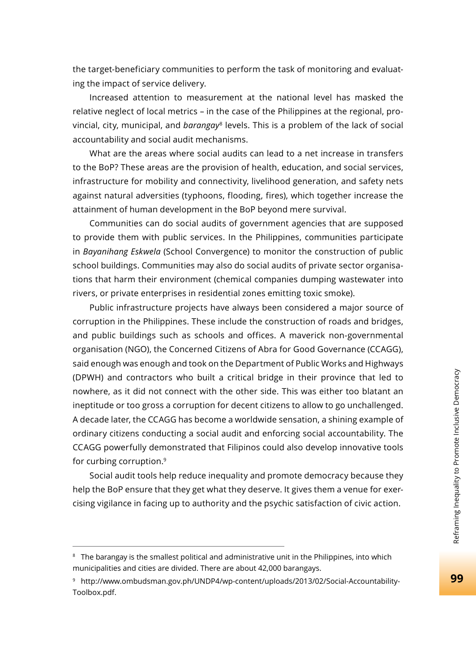the target-beneficiary communities to perform the task of monitoring and evaluating the impact of service delivery.

Increased attention to measurement at the national level has masked the relative neglect of local metrics – in the case of the Philippines at the regional, provincial, city, municipal, and *barangay*8 levels. This is a problem of the lack of social accountability and social audit mechanisms.

What are the areas where social audits can lead to a net increase in transfers to the BoP? These areas are the provision of health, education, and social services, infrastructure for mobility and connectivity, livelihood generation, and safety nets against natural adversities (typhoons, flooding, fires), which together increase the attainment of human development in the BoP beyond mere survival.

Communities can do social audits of government agencies that are supposed to provide them with public services. In the Philippines, communities participate in *Bayanihang Eskwela* (School Convergence) to monitor the construction of public school buildings. Communities may also do social audits of private sector organisations that harm their environment (chemical companies dumping wastewater into rivers, or private enterprises in residential zones emitting toxic smoke).

Public infrastructure projects have always been considered a major source of corruption in the Philippines. These include the construction of roads and bridges, and public buildings such as schools and offices. A maverick non-governmental organisation (NGO), the Concerned Citizens of Abra for Good Governance (CCAGG), said enough was enough and took on the Department of Public Works and Highways (DPWH) and contractors who built a critical bridge in their province that led to nowhere, as it did not connect with the other side. This was either too blatant an ineptitude or too gross a corruption for decent citizens to allow to go unchallenged. A decade later, the CCAGG has become a worldwide sensation, a shining example of ordinary citizens conducting a social audit and enforcing social accountability. The CCAGG powerfully demonstrated that Filipinos could also develop innovative tools for curbing corruption.9

Social audit tools help reduce inequality and promote democracy because they help the BoP ensure that they get what they deserve. It gives them a venue for exercising vigilance in facing up to authority and the psychic satisfaction of civic action.

<sup>&</sup>lt;sup>8</sup> The barangay is the smallest political and administrative unit in the Philippines, into which municipalities and cities are divided. There are about 42,000 barangays.

<sup>9</sup> http://www.ombudsman.gov.ph/UNDP4/wp-content/uploads/2013/02/Social-Accountability-Toolbox.pdf.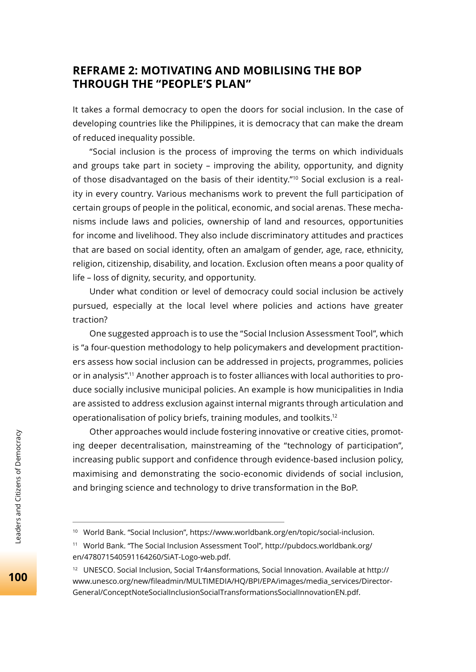#### **REFRAME 2: MOTIVATING AND MOBILISING THE BOP THROUGH THE "PEOPLE'S PLAN"**

It takes a formal democracy to open the doors for social inclusion. In the case of developing countries like the Philippines, it is democracy that can make the dream of reduced inequality possible.

"Social inclusion is the process of improving the terms on which individuals and groups take part in society – improving the ability, opportunity, and dignity of those disadvantaged on the basis of their identity."<sup>10</sup> Social exclusion is a reality in every country. Various mechanisms work to prevent the full participation of certain groups of people in the political, economic, and social arenas. These mechanisms include laws and policies, ownership of land and resources, opportunities for income and livelihood. They also include discriminatory attitudes and practices that are based on social identity, often an amalgam of gender, age, race, ethnicity, religion, citizenship, disability, and location. Exclusion often means a poor quality of life – loss of dignity, security, and opportunity.

Under what condition or level of democracy could social inclusion be actively pursued, especially at the local level where policies and actions have greater traction?

One suggested approach is to use the "Social Inclusion Assessment Tool", which is "a four-question methodology to help policymakers and development practitioners assess how social inclusion can be addressed in projects, programmes, policies or in analysis".11 Another approach is to foster alliances with local authorities to produce socially inclusive municipal policies. An example is how municipalities in India are assisted to address exclusion against internal migrants through articulation and operationalisation of policy briefs, training modules, and toolkits.12

Other approaches would include fostering innovative or creative cities, promoting deeper decentralisation, mainstreaming of the "technology of participation", increasing public support and confidence through evidence-based inclusion policy, maximising and demonstrating the socio-economic dividends of social inclusion, and bringing science and technology to drive transformation in the BoP.

100

<sup>10</sup> World Bank. "Social Inclusion", https://www.worldbank.org/en/topic/social-inclusion.

<sup>11</sup> World Bank. "The Social Inclusion Assessment Tool", http://pubdocs.worldbank.org/ en/478071540591164260/SiAT-Logo-web.pdf.

<sup>12</sup> UNESCO. Social Inclusion, Social Tr4ansformations, Social Innovation. Available at http:// www.unesco.org/new/fileadmin/MULTIMEDIA/HQ/BPI/EPA/images/media\_services/Director-General/ConceptNoteSocialInclusionSocialTransformationsSocialInnovationEN.pdf.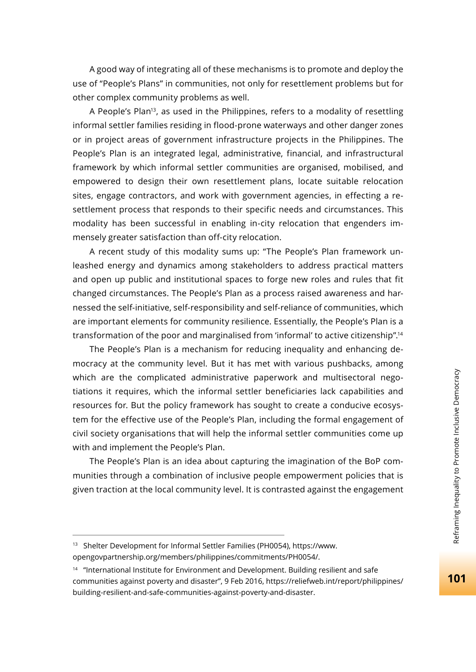A good way of integrating all of these mechanisms is to promote and deploy the use of "People's Plans" in communities, not only for resettlement problems but for other complex community problems as well.

A People's Plan<sup>13</sup>, as used in the Philippines, refers to a modality of resettling informal settler families residing in flood-prone waterways and other danger zones or in project areas of government infrastructure projects in the Philippines. The People's Plan is an integrated legal, administrative, financial, and infrastructural framework by which informal settler communities are organised, mobilised, and empowered to design their own resettlement plans, locate suitable relocation sites, engage contractors, and work with government agencies, in effecting a resettlement process that responds to their specific needs and circumstances. This modality has been successful in enabling in-city relocation that engenders immensely greater satisfaction than off-city relocation.

A recent study of this modality sums up: "The People's Plan framework unleashed energy and dynamics among stakeholders to address practical matters and open up public and institutional spaces to forge new roles and rules that fit changed circumstances. The People's Plan as a process raised awareness and harnessed the self-initiative, self-responsibility and self-reliance of communities, which are important elements for community resilience. Essentially, the People's Plan is a transformation of the poor and marginalised from 'informal' to active citizenship".14

The People's Plan is a mechanism for reducing inequality and enhancing democracy at the community level. But it has met with various pushbacks, among which are the complicated administrative paperwork and multisectoral negotiations it requires, which the informal settler beneficiaries lack capabilities and resources for. But the policy framework has sought to create a conducive ecosystem for the effective use of the People's Plan, including the formal engagement of civil society organisations that will help the informal settler communities come up with and implement the People's Plan.

The People's Plan is an idea about capturing the imagination of the BoP communities through a combination of inclusive people empowerment policies that is given traction at the local community level. It is contrasted against the engagement

<sup>13</sup> Shelter Development for Informal Settler Families (PH0054), https://www. opengovpartnership.org/members/philippines/commitments/PH0054/.

<sup>&</sup>lt;sup>14</sup> "International Institute for Environment and Development. Building resilient and safe communities against poverty and disaster", 9 Feb 2016, https://reliefweb.int/report/philippines/ building-resilient-and-safe-communities-against-poverty-and-disaster.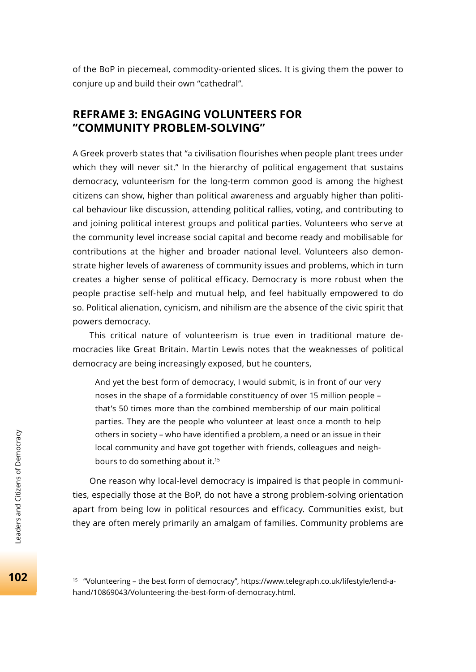of the BoP in piecemeal, commodity-oriented slices. It is giving them the power to conjure up and build their own "cathedral".

## **REFRAME 3: ENGAGING VOLUNTEERS FOR "COMMUNITY PROBLEM-SOLVING"**

A Greek proverb states that "a civilisation flourishes when people plant trees under which they will never sit." In the hierarchy of political engagement that sustains democracy, volunteerism for the long-term common good is among the highest citizens can show, higher than political awareness and arguably higher than political behaviour like discussion, attending political rallies, voting, and contributing to and joining political interest groups and political parties. Volunteers who serve at the community level increase social capital and become ready and mobilisable for contributions at the higher and broader national level. Volunteers also demonstrate higher levels of awareness of community issues and problems, which in turn creates a higher sense of political efficacy. Democracy is more robust when the people practise self-help and mutual help, and feel habitually empowered to do so. Political alienation, cynicism, and nihilism are the absence of the civic spirit that powers democracy.

This critical nature of volunteerism is true even in traditional mature democracies like Great Britain. Martin Lewis notes that the weaknesses of political democracy are being increasingly exposed, but he counters,

And yet the best form of democracy, I would submit, is in front of our very noses in the shape of a formidable constituency of over 15 million people – that's 50 times more than the combined membership of our main political parties. They are the people who volunteer at least once a month to help others in society – who have identified a problem, a need or an issue in their local community and have got together with friends, colleagues and neighbours to do something about it.15

One reason why local-level democracy is impaired is that people in communities, especially those at the BoP, do not have a strong problem-solving orientation apart from being low in political resources and efficacy. Communities exist, but they are often merely primarily an amalgam of families. Community problems are

<sup>15 &</sup>quot;Volunteering – the best form of democracy", https://www.telegraph.co.uk/lifestyle/lend-ahand/10869043/Volunteering-the-best-form-of-democracy.html.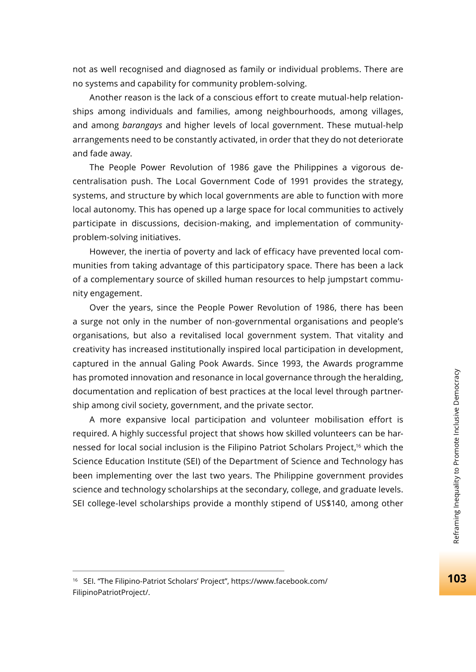not as well recognised and diagnosed as family or individual problems. There are no systems and capability for community problem-solving.

Another reason is the lack of a conscious effort to create mutual-help relationships among individuals and families, among neighbourhoods, among villages, and among *barangays* and higher levels of local government. These mutual-help arrangements need to be constantly activated, in order that they do not deteriorate and fade away.

The People Power Revolution of 1986 gave the Philippines a vigorous decentralisation push. The Local Government Code of 1991 provides the strategy, systems, and structure by which local governments are able to function with more local autonomy. This has opened up a large space for local communities to actively participate in discussions, decision-making, and implementation of communityproblem-solving initiatives.

However, the inertia of poverty and lack of efficacy have prevented local communities from taking advantage of this participatory space. There has been a lack of a complementary source of skilled human resources to help jumpstart community engagement.

Over the years, since the People Power Revolution of 1986, there has been a surge not only in the number of non-governmental organisations and people's organisations, but also a revitalised local government system. That vitality and creativity has increased institutionally inspired local participation in development, captured in the annual Galing Pook Awards. Since 1993, the Awards programme has promoted innovation and resonance in local governance through the heralding, documentation and replication of best practices at the local level through partnership among civil society, government, and the private sector.

A more expansive local participation and volunteer mobilisation effort is required. A highly successful project that shows how skilled volunteers can be harnessed for local social inclusion is the Filipino Patriot Scholars Project,<sup>16</sup> which the Science Education Institute (SEI) of the Department of Science and Technology has been implementing over the last two years. The Philippine government provides science and technology scholarships at the secondary, college, and graduate levels. SEI college-level scholarships provide a monthly stipend of US\$140, among other

<sup>16</sup> SEI. "The Filipino-Patriot Scholars' Project", https://www.facebook.com/ FilipinoPatriotProject/.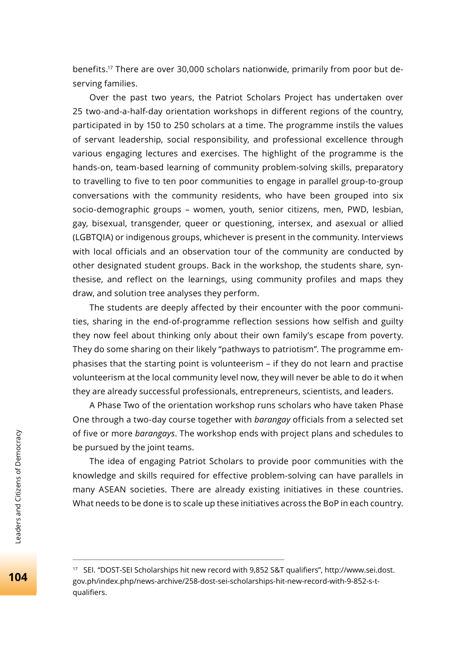benefits.17 There are over 30,000 scholars nationwide, primarily from poor but deserving families.

Over the past two years, the Patriot Scholars Project has undertaken over 25 two-and-a-half-day orientation workshops in different regions of the country, participated in by 150 to 250 scholars at a time. The programme instils the values of servant leadership, social responsibility, and professional excellence through various engaging lectures and exercises. The highlight of the programme is the hands-on, team-based learning of community problem-solving skills, preparatory to travelling to five to ten poor communities to engage in parallel group-to-group conversations with the community residents, who have been grouped into six socio-demographic groups – women, youth, senior citizens, men, PWD, lesbian, gay, bisexual, transgender, queer or questioning, intersex, and asexual or allied (LGBTQIA) or indigenous groups, whichever is present in the community. Interviews with local officials and an observation tour of the community are conducted by other designated student groups. Back in the workshop, the students share, synthesise, and reflect on the learnings, using community profiles and maps they draw, and solution tree analyses they perform.

The students are deeply affected by their encounter with the poor communities, sharing in the end-of-programme reflection sessions how selfish and guilty they now feel about thinking only about their own family's escape from poverty. They do some sharing on their likely "pathways to patriotism". The programme emphasises that the starting point is volunteerism – if they do not learn and practise volunteerism at the local community level now, they will never be able to do it when they are already successful professionals, entrepreneurs, scientists, and leaders.

A Phase Two of the orientation workshop runs scholars who have taken Phase One through a two-day course together with *barangay* officials from a selected set of five or more *barangays*. The workshop ends with project plans and schedules to be pursued by the joint teams.

The idea of engaging Patriot Scholars to provide poor communities with the knowledge and skills required for effective problem-solving can have parallels in many ASEAN societies. There are already existing initiatives in these countries. What needs to be done is to scale up these initiatives across the BoP in each country.

<sup>&</sup>lt;sup>17</sup> SEI. "DOST-SEI Scholarships hit new record with 9,852 S&T qualifiers", http://www.sei.dost. gov.ph/index.php/news-archive/258-dost-sei-scholarships-hit-new-record-with-9-852-s-tqualifiers.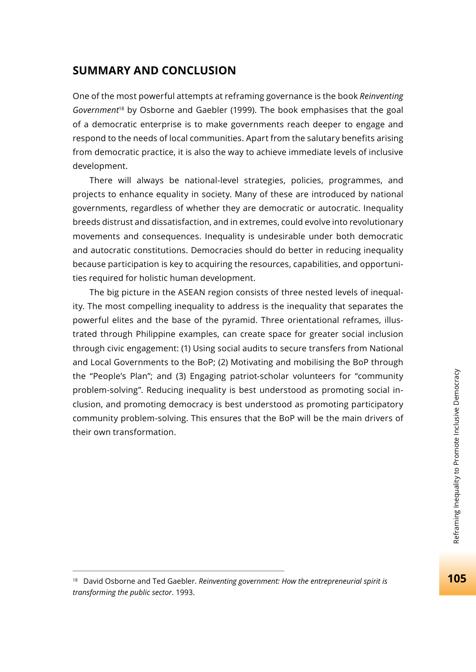#### **SUMMARY AND CONCLUSION**

One of the most powerful attempts at reframing governance is the book *Reinventing Government*18 by Osborne and Gaebler (1999). The book emphasises that the goal of a democratic enterprise is to make governments reach deeper to engage and respond to the needs of local communities. Apart from the salutary benefits arising from democratic practice, it is also the way to achieve immediate levels of inclusive development.

There will always be national-level strategies, policies, programmes, and projects to enhance equality in society. Many of these are introduced by national governments, regardless of whether they are democratic or autocratic. Inequality breeds distrust and dissatisfaction, and in extremes, could evolve into revolutionary movements and consequences. Inequality is undesirable under both democratic and autocratic constitutions. Democracies should do better in reducing inequality because participation is key to acquiring the resources, capabilities, and opportunities required for holistic human development.

The big picture in the ASEAN region consists of three nested levels of inequality. The most compelling inequality to address is the inequality that separates the powerful elites and the base of the pyramid. Three orientational reframes, illustrated through Philippine examples, can create space for greater social inclusion through civic engagement: (1) Using social audits to secure transfers from National and Local Governments to the BoP; (2) Motivating and mobilising the BoP through the "People's Plan"; and (3) Engaging patriot-scholar volunteers for "community problem-solving". Reducing inequality is best understood as promoting social inclusion, and promoting democracy is best understood as promoting participatory community problem-solving. This ensures that the BoP will be the main drivers of their own transformation.

<sup>18</sup> David Osborne and Ted Gaebler. *Reinventing government: How the entrepreneurial spirit is transforming the public sector*. 1993.